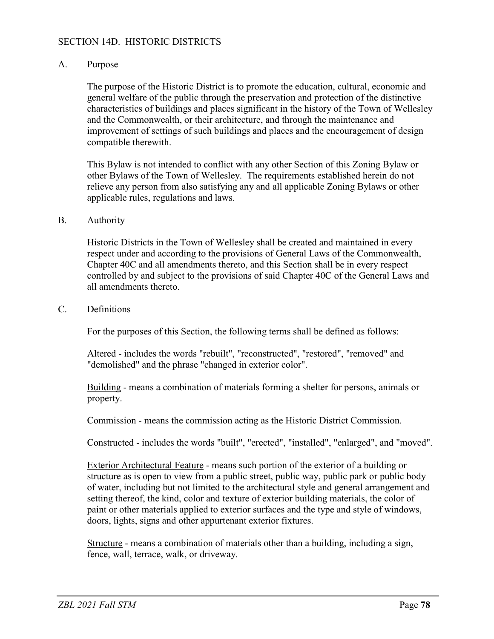## SECTION 14D. HISTORIC DISTRICTS

## A. Purpose

The purpose of the Historic District is to promote the education, cultural, economic and general welfare of the public through the preservation and protection of the distinctive characteristics of buildings and places significant in the history of the Town of Wellesley and the Commonwealth, or their architecture, and through the maintenance and improvement of settings of such buildings and places and the encouragement of design compatible therewith.

This Bylaw is not intended to conflict with any other Section of this Zoning Bylaw or other Bylaws of the Town of Wellesley. The requirements established herein do not relieve any person from also satisfying any and all applicable Zoning Bylaws or other applicable rules, regulations and laws.

#### B. Authority

Historic Districts in the Town of Wellesley shall be created and maintained in every respect under and according to the provisions of General Laws of the Commonwealth, Chapter 40C and all amendments thereto, and this Section shall be in every respect controlled by and subject to the provisions of said Chapter 40C of the General Laws and all amendments thereto.

#### C. Definitions

For the purposes of this Section, the following terms shall be defined as follows:

Altered - includes the words "rebuilt", "reconstructed", "restored", "removed" and "demolished" and the phrase "changed in exterior color".

Building - means a combination of materials forming a shelter for persons, animals or property.

Commission - means the commission acting as the Historic District Commission.

Constructed - includes the words "built", "erected", "installed", "enlarged", and "moved".

Exterior Architectural Feature - means such portion of the exterior of a building or structure as is open to view from a public street, public way, public park or public body of water, including but not limited to the architectural style and general arrangement and setting thereof, the kind, color and texture of exterior building materials, the color of paint or other materials applied to exterior surfaces and the type and style of windows, doors, lights, signs and other appurtenant exterior fixtures.

Structure - means a combination of materials other than a building, including a sign, fence, wall, terrace, walk, or driveway.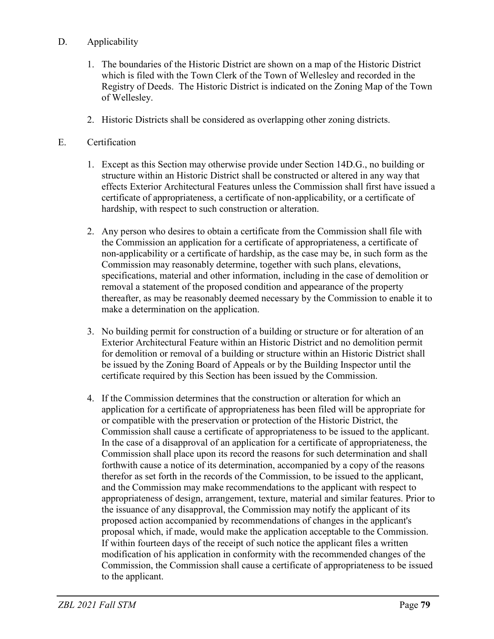# D. Applicability

- 1. The boundaries of the Historic District are shown on a map of the Historic District which is filed with the Town Clerk of the Town of Wellesley and recorded in the Registry of Deeds. The Historic District is indicated on the Zoning Map of the Town of Wellesley.
- 2. Historic Districts shall be considered as overlapping other zoning districts.
- E. Certification
	- 1. Except as this Section may otherwise provide under Section 14D.G., no building or structure within an Historic District shall be constructed or altered in any way that effects Exterior Architectural Features unless the Commission shall first have issued a certificate of appropriateness, a certificate of non-applicability, or a certificate of hardship, with respect to such construction or alteration.
	- 2. Any person who desires to obtain a certificate from the Commission shall file with the Commission an application for a certificate of appropriateness, a certificate of non-applicability or a certificate of hardship, as the case may be, in such form as the Commission may reasonably determine, together with such plans, elevations, specifications, material and other information, including in the case of demolition or removal a statement of the proposed condition and appearance of the property thereafter, as may be reasonably deemed necessary by the Commission to enable it to make a determination on the application.
	- 3. No building permit for construction of a building or structure or for alteration of an Exterior Architectural Feature within an Historic District and no demolition permit for demolition or removal of a building or structure within an Historic District shall be issued by the Zoning Board of Appeals or by the Building Inspector until the certificate required by this Section has been issued by the Commission.
	- 4. If the Commission determines that the construction or alteration for which an application for a certificate of appropriateness has been filed will be appropriate for or compatible with the preservation or protection of the Historic District, the Commission shall cause a certificate of appropriateness to be issued to the applicant. In the case of a disapproval of an application for a certificate of appropriateness, the Commission shall place upon its record the reasons for such determination and shall forthwith cause a notice of its determination, accompanied by a copy of the reasons therefor as set forth in the records of the Commission, to be issued to the applicant, and the Commission may make recommendations to the applicant with respect to appropriateness of design, arrangement, texture, material and similar features. Prior to the issuance of any disapproval, the Commission may notify the applicant of its proposed action accompanied by recommendations of changes in the applicant's proposal which, if made, would make the application acceptable to the Commission. If within fourteen days of the receipt of such notice the applicant files a written modification of his application in conformity with the recommended changes of the Commission, the Commission shall cause a certificate of appropriateness to be issued to the applicant.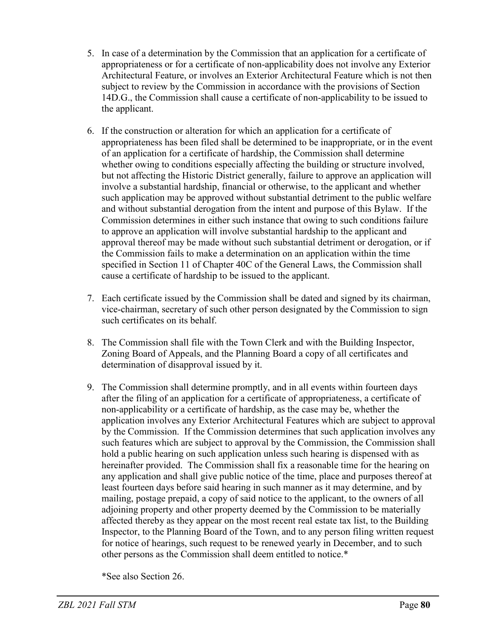- 5. In case of a determination by the Commission that an application for a certificate of appropriateness or for a certificate of non-applicability does not involve any Exterior Architectural Feature, or involves an Exterior Architectural Feature which is not then subject to review by the Commission in accordance with the provisions of Section 14D.G., the Commission shall cause a certificate of non-applicability to be issued to the applicant.
- 6. If the construction or alteration for which an application for a certificate of appropriateness has been filed shall be determined to be inappropriate, or in the event of an application for a certificate of hardship, the Commission shall determine whether owing to conditions especially affecting the building or structure involved, but not affecting the Historic District generally, failure to approve an application will involve a substantial hardship, financial or otherwise, to the applicant and whether such application may be approved without substantial detriment to the public welfare and without substantial derogation from the intent and purpose of this Bylaw. If the Commission determines in either such instance that owing to such conditions failure to approve an application will involve substantial hardship to the applicant and approval thereof may be made without such substantial detriment or derogation, or if the Commission fails to make a determination on an application within the time specified in Section 11 of Chapter 40C of the General Laws, the Commission shall cause a certificate of hardship to be issued to the applicant.
- 7. Each certificate issued by the Commission shall be dated and signed by its chairman, vice-chairman, secretary of such other person designated by the Commission to sign such certificates on its behalf.
- 8. The Commission shall file with the Town Clerk and with the Building Inspector, Zoning Board of Appeals, and the Planning Board a copy of all certificates and determination of disapproval issued by it.
- 9. The Commission shall determine promptly, and in all events within fourteen days after the filing of an application for a certificate of appropriateness, a certificate of non-applicability or a certificate of hardship, as the case may be, whether the application involves any Exterior Architectural Features which are subject to approval by the Commission. If the Commission determines that such application involves any such features which are subject to approval by the Commission, the Commission shall hold a public hearing on such application unless such hearing is dispensed with as hereinafter provided. The Commission shall fix a reasonable time for the hearing on any application and shall give public notice of the time, place and purposes thereof at least fourteen days before said hearing in such manner as it may determine, and by mailing, postage prepaid, a copy of said notice to the applicant, to the owners of all adjoining property and other property deemed by the Commission to be materially affected thereby as they appear on the most recent real estate tax list, to the Building Inspector, to the Planning Board of the Town, and to any person filing written request for notice of hearings, such request to be renewed yearly in December, and to such other persons as the Commission shall deem entitled to notice.\*

\*See also Section 26.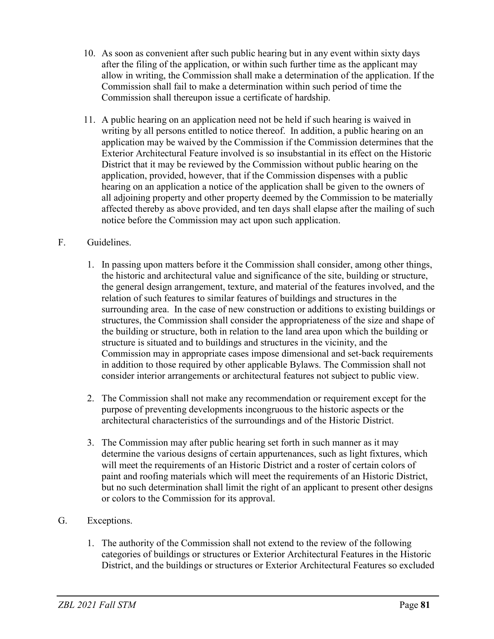- 10. As soon as convenient after such public hearing but in any event within sixty days after the filing of the application, or within such further time as the applicant may allow in writing, the Commission shall make a determination of the application. If the Commission shall fail to make a determination within such period of time the Commission shall thereupon issue a certificate of hardship.
- 11. A public hearing on an application need not be held if such hearing is waived in writing by all persons entitled to notice thereof. In addition, a public hearing on an application may be waived by the Commission if the Commission determines that the Exterior Architectural Feature involved is so insubstantial in its effect on the Historic District that it may be reviewed by the Commission without public hearing on the application, provided, however, that if the Commission dispenses with a public hearing on an application a notice of the application shall be given to the owners of all adjoining property and other property deemed by the Commission to be materially affected thereby as above provided, and ten days shall elapse after the mailing of such notice before the Commission may act upon such application.

## F. Guidelines.

- 1. In passing upon matters before it the Commission shall consider, among other things, the historic and architectural value and significance of the site, building or structure, the general design arrangement, texture, and material of the features involved, and the relation of such features to similar features of buildings and structures in the surrounding area. In the case of new construction or additions to existing buildings or structures, the Commission shall consider the appropriateness of the size and shape of the building or structure, both in relation to the land area upon which the building or structure is situated and to buildings and structures in the vicinity, and the Commission may in appropriate cases impose dimensional and set-back requirements in addition to those required by other applicable Bylaws. The Commission shall not consider interior arrangements or architectural features not subject to public view.
- 2. The Commission shall not make any recommendation or requirement except for the purpose of preventing developments incongruous to the historic aspects or the architectural characteristics of the surroundings and of the Historic District.
- 3. The Commission may after public hearing set forth in such manner as it may determine the various designs of certain appurtenances, such as light fixtures, which will meet the requirements of an Historic District and a roster of certain colors of paint and roofing materials which will meet the requirements of an Historic District, but no such determination shall limit the right of an applicant to present other designs or colors to the Commission for its approval.

# G. Exceptions.

1. The authority of the Commission shall not extend to the review of the following categories of buildings or structures or Exterior Architectural Features in the Historic District, and the buildings or structures or Exterior Architectural Features so excluded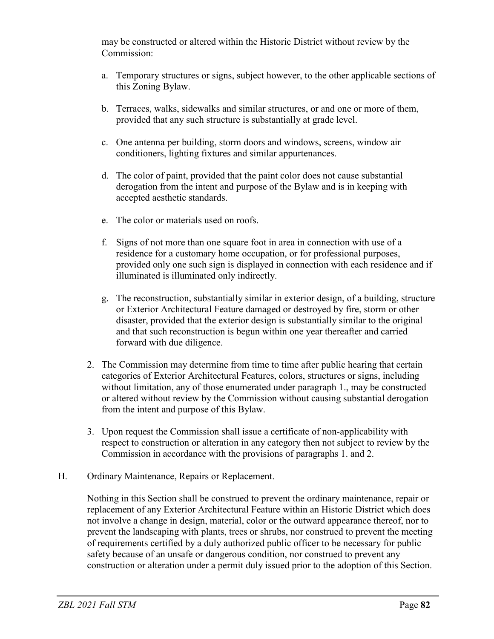may be constructed or altered within the Historic District without review by the Commission:

- a. Temporary structures or signs, subject however, to the other applicable sections of this Zoning Bylaw.
- b. Terraces, walks, sidewalks and similar structures, or and one or more of them, provided that any such structure is substantially at grade level.
- c. One antenna per building, storm doors and windows, screens, window air conditioners, lighting fixtures and similar appurtenances.
- d. The color of paint, provided that the paint color does not cause substantial derogation from the intent and purpose of the Bylaw and is in keeping with accepted aesthetic standards.
- e. The color or materials used on roofs.
- f. Signs of not more than one square foot in area in connection with use of a residence for a customary home occupation, or for professional purposes, provided only one such sign is displayed in connection with each residence and if illuminated is illuminated only indirectly.
- g. The reconstruction, substantially similar in exterior design, of a building, structure or Exterior Architectural Feature damaged or destroyed by fire, storm or other disaster, provided that the exterior design is substantially similar to the original and that such reconstruction is begun within one year thereafter and carried forward with due diligence.
- 2. The Commission may determine from time to time after public hearing that certain categories of Exterior Architectural Features, colors, structures or signs, including without limitation, any of those enumerated under paragraph 1., may be constructed or altered without review by the Commission without causing substantial derogation from the intent and purpose of this Bylaw.
- 3. Upon request the Commission shall issue a certificate of non-applicability with respect to construction or alteration in any category then not subject to review by the Commission in accordance with the provisions of paragraphs 1. and 2.
- H. Ordinary Maintenance, Repairs or Replacement.

Nothing in this Section shall be construed to prevent the ordinary maintenance, repair or replacement of any Exterior Architectural Feature within an Historic District which does not involve a change in design, material, color or the outward appearance thereof, nor to prevent the landscaping with plants, trees or shrubs, nor construed to prevent the meeting of requirements certified by a duly authorized public officer to be necessary for public safety because of an unsafe or dangerous condition, nor construed to prevent any construction or alteration under a permit duly issued prior to the adoption of this Section.